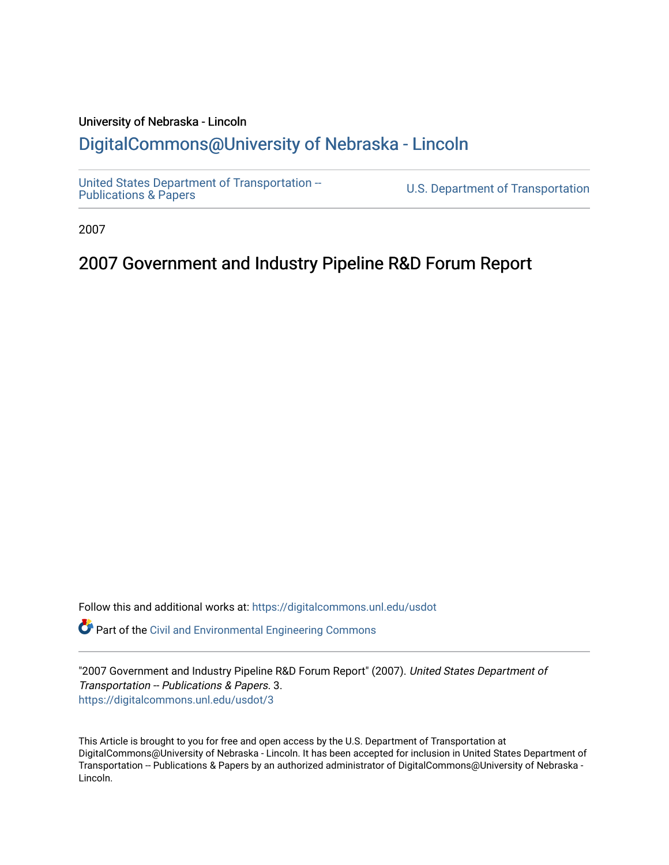### University of Nebraska - Lincoln [DigitalCommons@University of Nebraska - Lincoln](https://digitalcommons.unl.edu/)

[United States Department of Transportation --](https://digitalcommons.unl.edu/usdot)<br>Publications & Papers

U.S. Department of Transportation

2007

### 2007 Government and Industry Pipeline R&D Forum Report

Follow this and additional works at: [https://digitalcommons.unl.edu/usdot](https://digitalcommons.unl.edu/usdot?utm_source=digitalcommons.unl.edu%2Fusdot%2F3&utm_medium=PDF&utm_campaign=PDFCoverPages) 

Part of the [Civil and Environmental Engineering Commons](http://network.bepress.com/hgg/discipline/251?utm_source=digitalcommons.unl.edu%2Fusdot%2F3&utm_medium=PDF&utm_campaign=PDFCoverPages)

"2007 Government and Industry Pipeline R&D Forum Report" (2007). United States Department of Transportation -- Publications & Papers. 3. [https://digitalcommons.unl.edu/usdot/3](https://digitalcommons.unl.edu/usdot/3?utm_source=digitalcommons.unl.edu%2Fusdot%2F3&utm_medium=PDF&utm_campaign=PDFCoverPages) 

This Article is brought to you for free and open access by the U.S. Department of Transportation at DigitalCommons@University of Nebraska - Lincoln. It has been accepted for inclusion in United States Department of Transportation -- Publications & Papers by an authorized administrator of DigitalCommons@University of Nebraska - Lincoln.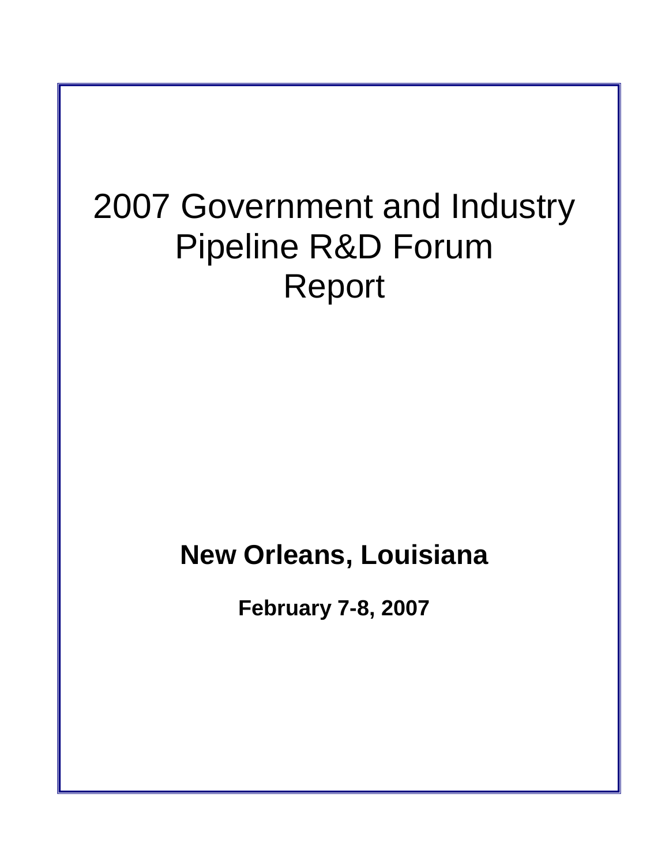# 2007 Government and Industry Pipeline R&D Forum Report

# **New Orleans, Louisiana**

**February 7-8, 2007**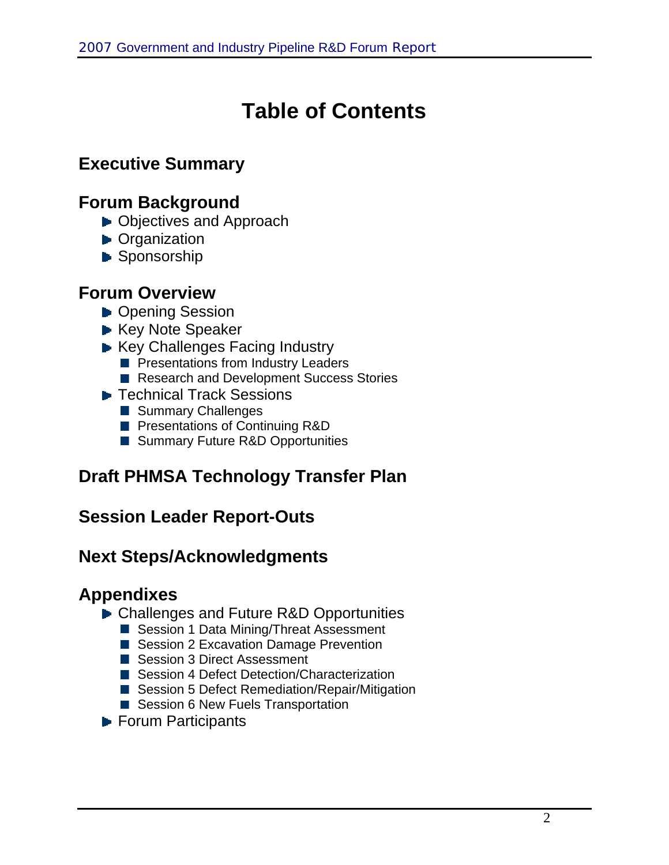# **Table of Contents**

## **Executive Summary**

### **Forum Background**

- ▶ Objectives and Approach
- **D** Organization
- Sponsorship

### **Forum Overview**

- ▶ Opening Session
- ► Key Note Speaker
- Key Challenges Facing Industry
	- **Per Presentations from Industry Leaders**
	- Research and Development Success Stories
- **► Technical Track Sessions** 
	- Summary Challenges
	- **Presentations of Continuing R&D**
	- Summary Future R&D Opportunities

## **Draft PHMSA Technology Transfer Plan**

### **Session Leader Report-Outs**

### **Next Steps/Acknowledgments**

### **Appendixes**

- ▶ Challenges and Future R&D Opportunities
	- Session 1 Data Mining/Threat Assessment
	- Session 2 Excavation Damage Prevention
	- Session 3 Direct Assessment
	- Session 4 Defect Detection/Characterization
	- Session 5 Defect Remediation/Repair/Mitigation
	- Session 6 New Fuels Transportation
- **Forum Participants**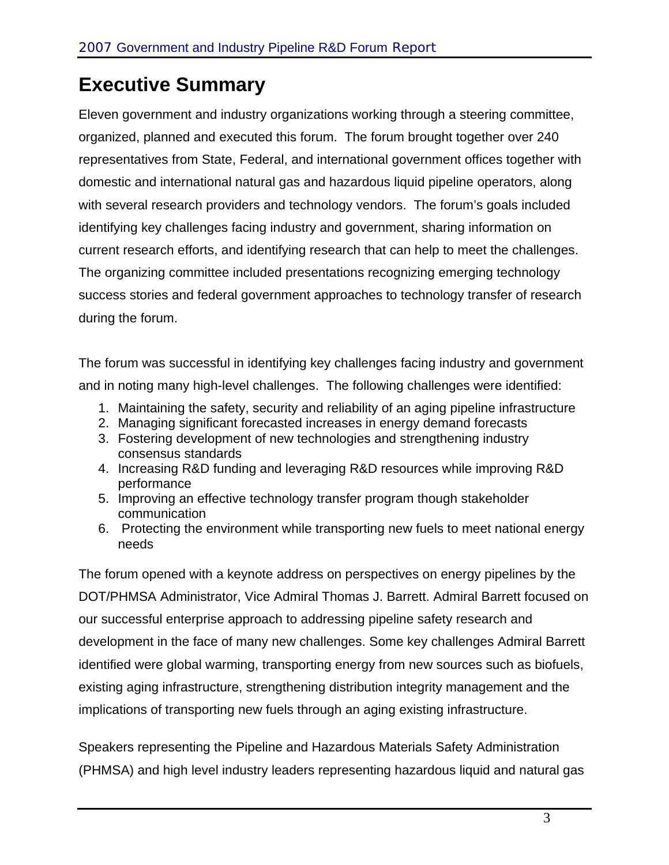# **Executive Summary**

Eleven government and industry organizations working through a steering committee, organized, planned and executed this forum. The forum brought together over 240 representatives from State, Federal, and international government offices together with domestic and international natural gas and hazardous liquid pipeline operators, along with several research providers and technology vendors. The forum's goals included identifying key challenges facing industry and government, sharing information on current research efforts, and identifying research that can help to meet the challenges. The organizing committee included presentations recognizing emerging technology success stories and federal government approaches to technology transfer of research during the forum.

The forum was successful in identifying key challenges facing industry and government and in noting many high-level challenges. The following challenges were identified:

- 1. Maintaining the safety, security and reliability of an aging pipeline infrastructure
- 2. Managing significant forecasted increases in energy demand forecasts
- 3. Fostering development of new technologies and strengthening industry consensus standards
- 4. Increasing R&D funding and leveraging R&D resources while improving R&D performance
- 5. Improving an effective technology transfer program though stakeholder communication
- 6. Protecting the environment while transporting new fuels to meet national energy needs

The forum opened with a keynote address on perspectives on energy pipelines by the DOT/PHMSA Administrator, Vice Admiral Thomas J. Barrett. Admiral Barrett focused on our successful enterprise approach to addressing pipeline safety research and development in the face of many new challenges. Some key challenges Admiral Barrett identified were global warming, transporting energy from new sources such as biofuels, existing aging infrastructure, strengthening distribution integrity management and the implications of transporting new fuels through an aging existing infrastructure.

Speakers representing the Pipeline and Hazardous Materials Safety Administration (PHMSA) and high level industry leaders representing hazardous liquid and natural gas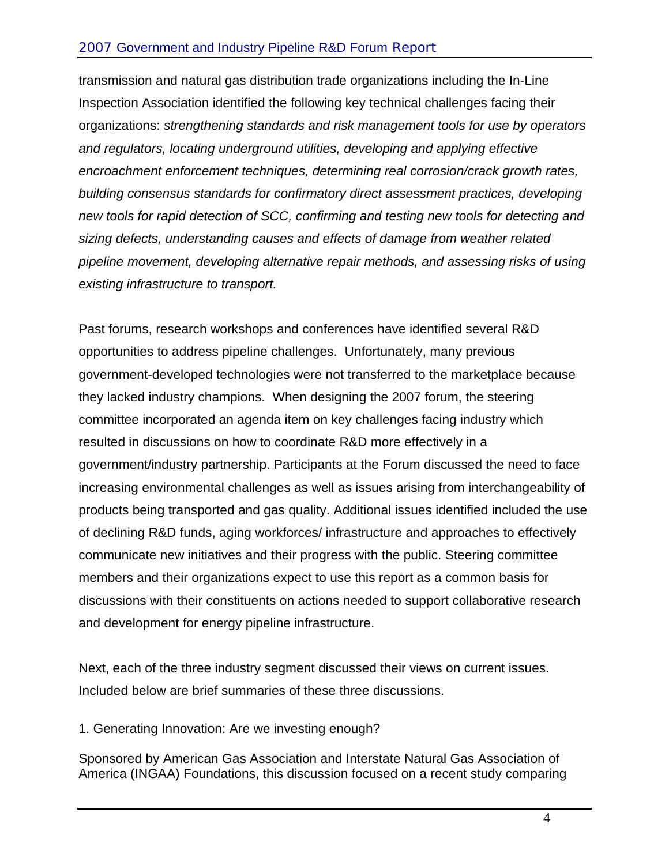### 2007 Government and Industry Pipeline R&D Forum Report

transmission and natural gas distribution trade organizations including the In-Line Inspection Association identified the following key technical challenges facing their organizations: *strengthening standards and risk management tools for use by operators and regulators, locating underground utilities, developing and applying effective encroachment enforcement techniques, determining real corrosion/crack growth rates, building consensus standards for confirmatory direct assessment practices, developing new tools for rapid detection of SCC, confirming and testing new tools for detecting and sizing defects, understanding causes and effects of damage from weather related pipeline movement, developing alternative repair methods, and assessing risks of using existing infrastructure to transport.* 

Past forums, research workshops and conferences have identified several R&D opportunities to address pipeline challenges. Unfortunately, many previous government-developed technologies were not transferred to the marketplace because they lacked industry champions. When designing the 2007 forum, the steering committee incorporated an agenda item on key challenges facing industry which resulted in discussions on how to coordinate R&D more effectively in a government/industry partnership. Participants at the Forum discussed the need to face increasing environmental challenges as well as issues arising from interchangeability of products being transported and gas quality. Additional issues identified included the use of declining R&D funds, aging workforces/ infrastructure and approaches to effectively communicate new initiatives and their progress with the public. Steering committee members and their organizations expect to use this report as a common basis for discussions with their constituents on actions needed to support collaborative research and development for energy pipeline infrastructure.

Next, each of the three industry segment discussed their views on current issues. Included below are brief summaries of these three discussions.

1. Generating Innovation: Are we investing enough?

Sponsored by American Gas Association and Interstate Natural Gas Association of America (INGAA) Foundations, this discussion focused on a recent study comparing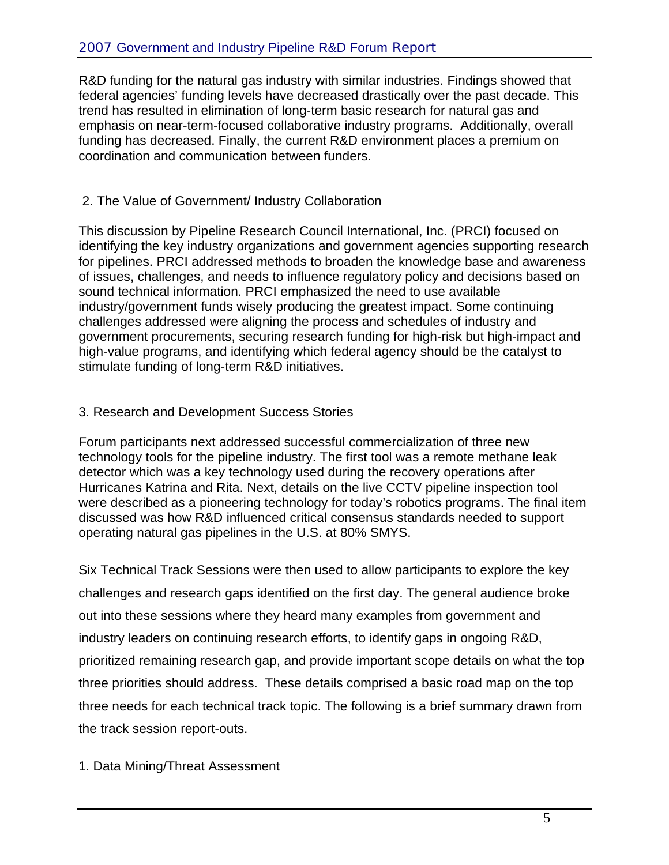R&D funding for the natural gas industry with similar industries. Findings showed that federal agencies' funding levels have decreased drastically over the past decade. This trend has resulted in elimination of long-term basic research for natural gas and emphasis on near-term-focused collaborative industry programs. Additionally, overall funding has decreased. Finally, the current R&D environment places a premium on coordination and communication between funders.

### 2. The Value of Government/ Industry Collaboration

This discussion by Pipeline Research Council International, Inc. (PRCI) focused on identifying the key industry organizations and government agencies supporting research for pipelines. PRCI addressed methods to broaden the knowledge base and awareness of issues, challenges, and needs to influence regulatory policy and decisions based on sound technical information. PRCI emphasized the need to use available industry/government funds wisely producing the greatest impact. Some continuing challenges addressed were aligning the process and schedules of industry and government procurements, securing research funding for high-risk but high-impact and high-value programs, and identifying which federal agency should be the catalyst to stimulate funding of long-term R&D initiatives.

### 3. Research and Development Success Stories

Forum participants next addressed successful commercialization of three new technology tools for the pipeline industry. The first tool was a remote methane leak detector which was a key technology used during the recovery operations after Hurricanes Katrina and Rita. Next, details on the live CCTV pipeline inspection tool were described as a pioneering technology for today's robotics programs. The final item discussed was how R&D influenced critical consensus standards needed to support operating natural gas pipelines in the U.S. at 80% SMYS.

Six Technical Track Sessions were then used to allow participants to explore the key challenges and research gaps identified on the first day. The general audience broke out into these sessions where they heard many examples from government and industry leaders on continuing research efforts, to identify gaps in ongoing R&D, prioritized remaining research gap, and provide important scope details on what the top three priorities should address. These details comprised a basic road map on the top three needs for each technical track topic. The following is a brief summary drawn from the track session report-outs.

1. Data Mining/Threat Assessment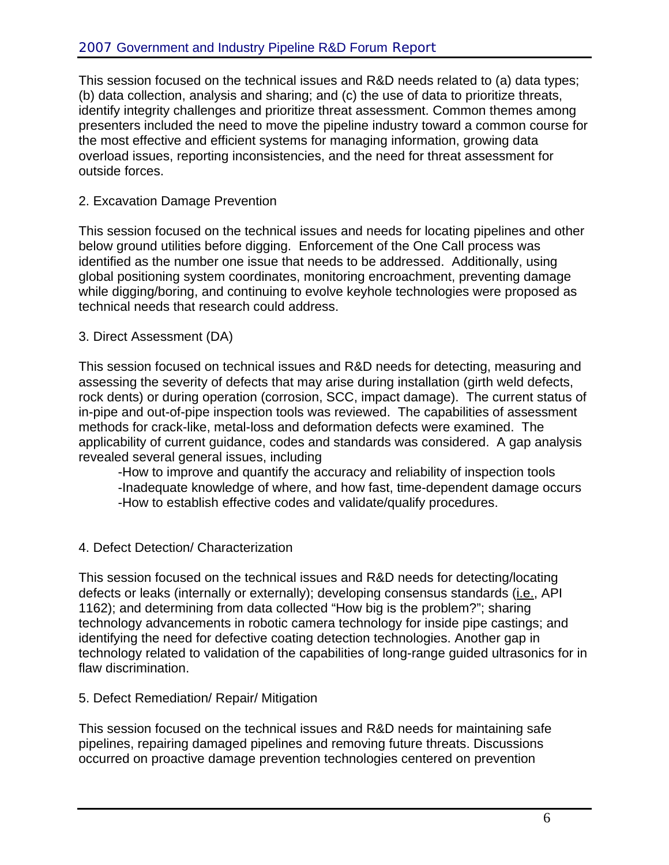This session focused on the technical issues and R&D needs related to (a) data types; (b) data collection, analysis and sharing; and (c) the use of data to prioritize threats, identify integrity challenges and prioritize threat assessment. Common themes among presenters included the need to move the pipeline industry toward a common course for the most effective and efficient systems for managing information, growing data overload issues, reporting inconsistencies, and the need for threat assessment for outside forces.

#### 2. Excavation Damage Prevention

This session focused on the technical issues and needs for locating pipelines and other below ground utilities before digging. Enforcement of the One Call process was identified as the number one issue that needs to be addressed. Additionally, using global positioning system coordinates, monitoring encroachment, preventing damage while digging/boring, and continuing to evolve keyhole technologies were proposed as technical needs that research could address.

#### 3. Direct Assessment (DA)

This session focused on technical issues and R&D needs for detecting, measuring and assessing the severity of defects that may arise during installation (girth weld defects, rock dents) or during operation (corrosion, SCC, impact damage). The current status of in-pipe and out-of-pipe inspection tools was reviewed. The capabilities of assessment methods for crack-like, metal-loss and deformation defects were examined. The applicability of current guidance, codes and standards was considered. A gap analysis revealed several general issues, including

-How to improve and quantify the accuracy and reliability of inspection tools -Inadequate knowledge of where, and how fast, time-dependent damage occurs -How to establish effective codes and validate/qualify procedures.

### 4. Defect Detection/ Characterization

This session focused on the technical issues and R&D needs for detecting/locating defects or leaks (internally or externally); developing consensus standards (i.e., API 1162); and determining from data collected "How big is the problem?"; sharing technology advancements in robotic camera technology for inside pipe castings; and identifying the need for defective coating detection technologies. Another gap in technology related to validation of the capabilities of long-range guided ultrasonics for in flaw discrimination.

#### 5. Defect Remediation/ Repair/ Mitigation

This session focused on the technical issues and R&D needs for maintaining safe pipelines, repairing damaged pipelines and removing future threats. Discussions occurred on proactive damage prevention technologies centered on prevention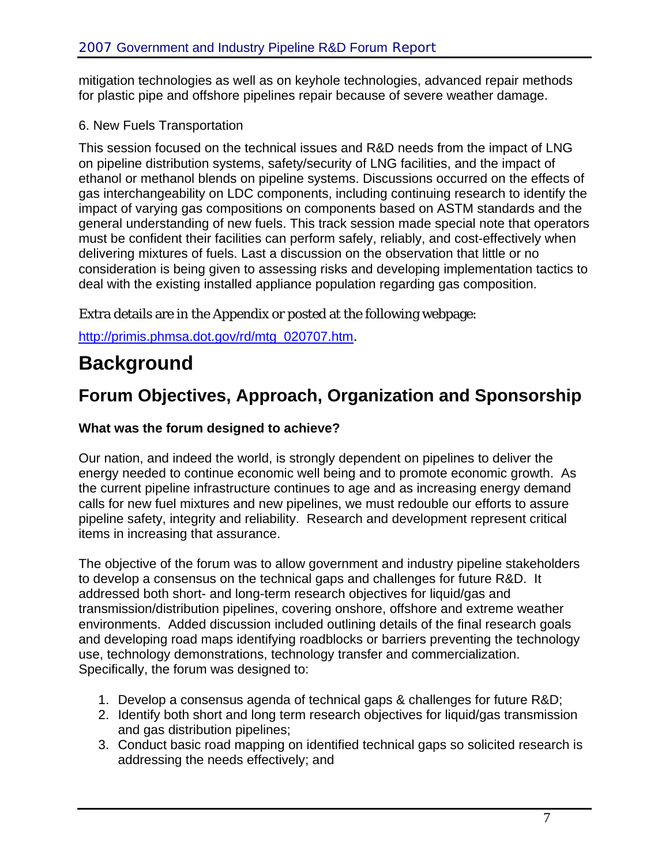mitigation technologies as well as on keyhole technologies, advanced repair methods for plastic pipe and offshore pipelines repair because of severe weather damage.

### 6. New Fuels Transportation

This session focused on the technical issues and R&D needs from the impact of LNG on pipeline distribution systems, safety/security of LNG facilities, and the impact of ethanol or methanol blends on pipeline systems. Discussions occurred on the effects of gas interchangeability on LDC components, including continuing research to identify the impact of varying gas compositions on components based on ASTM standards and the general understanding of new fuels. This track session made special note that operators must be confident their facilities can perform safely, reliably, and cost-effectively when delivering mixtures of fuels. Last a discussion on the observation that little or no consideration is being given to assessing risks and developing implementation tactics to deal with the existing installed appliance population regarding gas composition.

Extra details are in the Appendix or posted at the following webpage:

http://primis.phmsa.dot.gov/rd/mtg\_020707.htm.

# **Background**

# **Forum Objectives, Approach, Organization and Sponsorship**

### **What was the forum designed to achieve?**

Our nation, and indeed the world, is strongly dependent on pipelines to deliver the energy needed to continue economic well being and to promote economic growth. As the current pipeline infrastructure continues to age and as increasing energy demand calls for new fuel mixtures and new pipelines, we must redouble our efforts to assure pipeline safety, integrity and reliability. Research and development represent critical items in increasing that assurance.

The objective of the forum was to allow government and industry pipeline stakeholders to develop a consensus on the technical gaps and challenges for future R&D. It addressed both short- and long-term research objectives for liquid/gas and transmission/distribution pipelines, covering onshore, offshore and extreme weather environments. Added discussion included outlining details of the final research goals and developing road maps identifying roadblocks or barriers preventing the technology use, technology demonstrations, technology transfer and commercialization. Specifically, the forum was designed to:

- 1. Develop a consensus agenda of technical gaps & challenges for future R&D;
- 2. Identify both short and long term research objectives for liquid/gas transmission and gas distribution pipelines;
- 3. Conduct basic road mapping on identified technical gaps so solicited research is addressing the needs effectively; and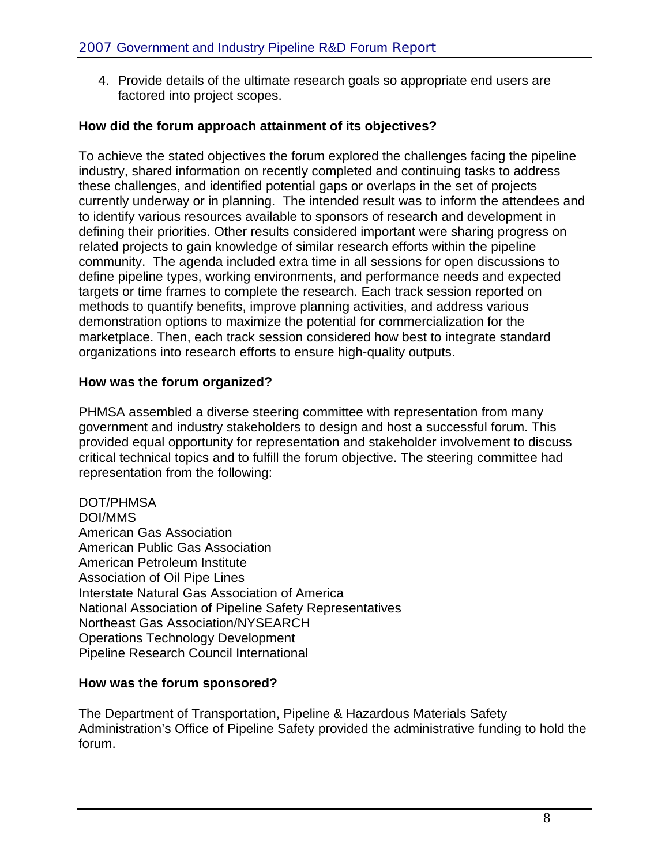4. Provide details of the ultimate research goals so appropriate end users are factored into project scopes.

#### **How did the forum approach attainment of its objectives?**

To achieve the stated objectives the forum explored the challenges facing the pipeline industry, shared information on recently completed and continuing tasks to address these challenges, and identified potential gaps or overlaps in the set of projects currently underway or in planning. The intended result was to inform the attendees and to identify various resources available to sponsors of research and development in defining their priorities. Other results considered important were sharing progress on related projects to gain knowledge of similar research efforts within the pipeline community. The agenda included extra time in all sessions for open discussions to define pipeline types, working environments, and performance needs and expected targets or time frames to complete the research. Each track session reported on methods to quantify benefits, improve planning activities, and address various demonstration options to maximize the potential for commercialization for the marketplace. Then, each track session considered how best to integrate standard organizations into research efforts to ensure high-quality outputs.

#### **How was the forum organized?**

PHMSA assembled a diverse steering committee with representation from many government and industry stakeholders to design and host a successful forum. This provided equal opportunity for representation and stakeholder involvement to discuss critical technical topics and to fulfill the forum objective. The steering committee had representation from the following:

DOT/PHMSA DOI/MMS American Gas Association American Public Gas Association American Petroleum Institute Association of Oil Pipe Lines Interstate Natural Gas Association of America National Association of Pipeline Safety Representatives Northeast Gas Association/NYSEARCH Operations Technology Development Pipeline Research Council International

### **How was the forum sponsored?**

The Department of Transportation, Pipeline & Hazardous Materials Safety Administration's Office of Pipeline Safety provided the administrative funding to hold the forum.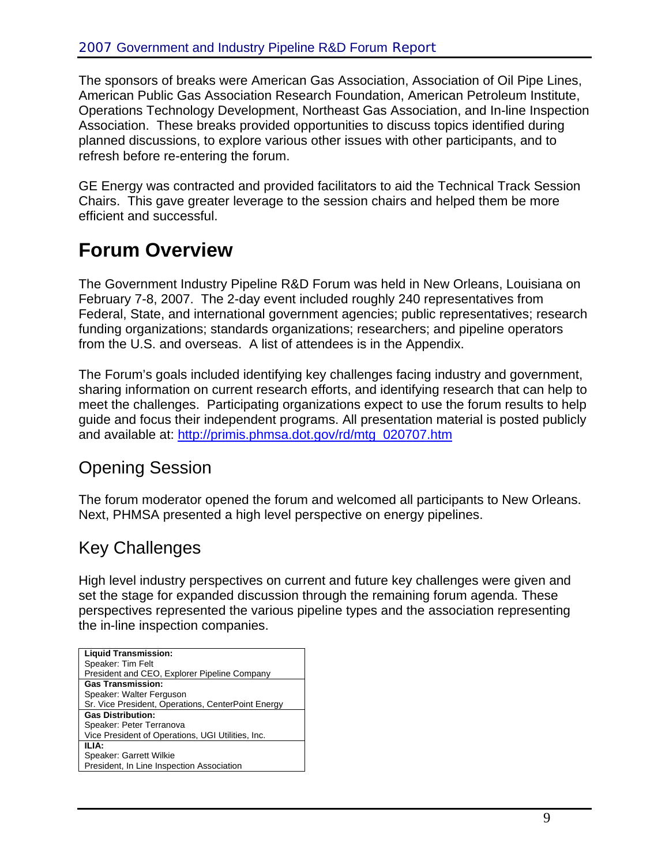The sponsors of breaks were American Gas Association, Association of Oil Pipe Lines, American Public Gas Association Research Foundation, American Petroleum Institute, Operations Technology Development, Northeast Gas Association, and In-line Inspection Association. These breaks provided opportunities to discuss topics identified during planned discussions, to explore various other issues with other participants, and to refresh before re-entering the forum.

GE Energy was contracted and provided facilitators to aid the Technical Track Session Chairs. This gave greater leverage to the session chairs and helped them be more efficient and successful.

# **Forum Overview**

The Government Industry Pipeline R&D Forum was held in New Orleans, Louisiana on February 7-8, 2007. The 2-day event included roughly 240 representatives from Federal, State, and international government agencies; public representatives; research funding organizations; standards organizations; researchers; and pipeline operators from the U.S. and overseas. A list of attendees is in the Appendix.

The Forum's goals included identifying key challenges facing industry and government, sharing information on current research efforts, and identifying research that can help to meet the challenges. Participating organizations expect to use the forum results to help guide and focus their independent programs. All presentation material is posted publicly and available at: http://primis.phmsa.dot.gov/rd/mtg\_020707.htm

## Opening Session

The forum moderator opened the forum and welcomed all participants to New Orleans. Next, PHMSA presented a high level perspective on energy pipelines.

## Key Challenges

High level industry perspectives on current and future key challenges were given and set the stage for expanded discussion through the remaining forum agenda. These perspectives represented the various pipeline types and the association representing the in-line inspection companies.

| <b>Liquid Transmission:</b>                        |
|----------------------------------------------------|
| Speaker: Tim Felt                                  |
| President and CEO, Explorer Pipeline Company       |
| <b>Gas Transmission:</b>                           |
| Speaker: Walter Ferguson                           |
| Sr. Vice President, Operations, CenterPoint Energy |
| <b>Gas Distribution:</b>                           |
| Speaker: Peter Terranova                           |
| Vice President of Operations, UGI Utilities, Inc.  |
| ILIA:                                              |
| Speaker: Garrett Wilkie                            |
| President, In Line Inspection Association          |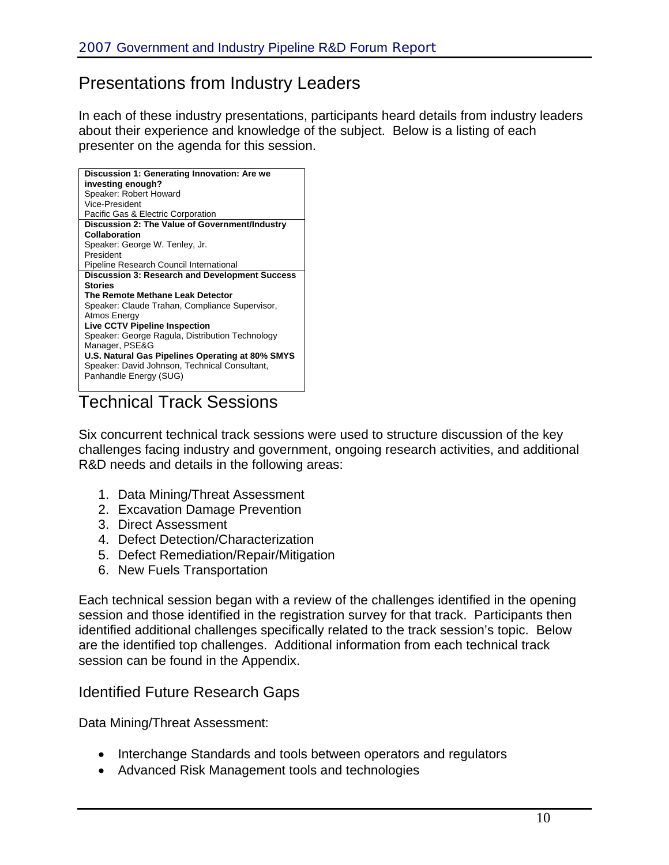### Presentations from Industry Leaders

In each of these industry presentations, participants heard details from industry leaders about their experience and knowledge of the subject. Below is a listing of each presenter on the agenda for this session.

| Discussion 1: Generating Innovation: Are we<br>investing enough? |
|------------------------------------------------------------------|
| Speaker: Robert Howard                                           |
| Vice-President                                                   |
| Pacific Gas & Electric Corporation                               |
| Discussion 2: The Value of Government/Industry                   |
| Collaboration                                                    |
| Speaker: George W. Tenley, Jr.                                   |
| President                                                        |
| Pipeline Research Council International                          |
| <b>Discussion 3: Research and Development Success</b>            |
| <b>Stories</b>                                                   |
| The Remote Methane Leak Detector                                 |
| Speaker: Claude Trahan, Compliance Supervisor,                   |
| Atmos Energy                                                     |
| <b>Live CCTV Pipeline Inspection</b>                             |
| Speaker: George Ragula, Distribution Technology                  |
| Manager, PSE&G                                                   |
| U.S. Natural Gas Pipelines Operating at 80% SMYS                 |
| Speaker: David Johnson, Technical Consultant,                    |
| Panhandle Energy (SUG)                                           |

Technical Track Sessions

Six concurrent technical track sessions were used to structure discussion of the key challenges facing industry and government, ongoing research activities, and additional R&D needs and details in the following areas:

- 1. Data Mining/Threat Assessment
- 2. Excavation Damage Prevention
- 3. Direct Assessment
- 4. Defect Detection/Characterization
- 5. Defect Remediation/Repair/Mitigation
- 6. New Fuels Transportation

Each technical session began with a review of the challenges identified in the opening session and those identified in the registration survey for that track. Participants then identified additional challenges specifically related to the track session's topic. Below are the identified top challenges. Additional information from each technical track session can be found in the Appendix.

### Identified Future Research Gaps

Data Mining/Threat Assessment:

- Interchange Standards and tools between operators and regulators
- Advanced Risk Management tools and technologies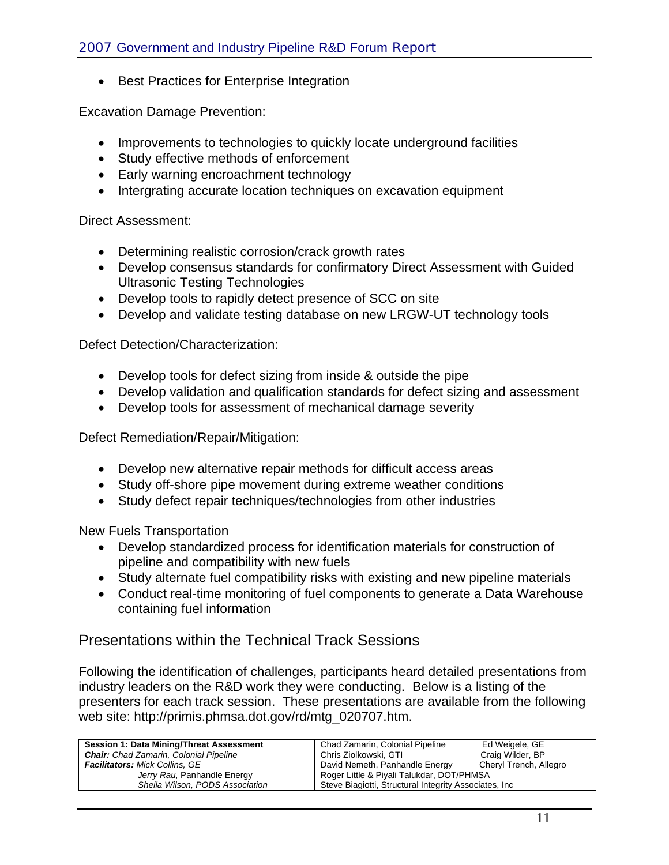• Best Practices for Enterprise Integration

Excavation Damage Prevention:

- Improvements to technologies to quickly locate underground facilities
- Study effective methods of enforcement
- Early warning encroachment technology
- Intergrating accurate location techniques on excavation equipment

Direct Assessment:

- Determining realistic corrosion/crack growth rates
- Develop consensus standards for confirmatory Direct Assessment with Guided Ultrasonic Testing Technologies
- Develop tools to rapidly detect presence of SCC on site
- Develop and validate testing database on new LRGW-UT technology tools

Defect Detection/Characterization:

- Develop tools for defect sizing from inside & outside the pipe
- Develop validation and qualification standards for defect sizing and assessment
- Develop tools for assessment of mechanical damage severity

Defect Remediation/Repair/Mitigation:

- Develop new alternative repair methods for difficult access areas
- Study off-shore pipe movement during extreme weather conditions
- Study defect repair techniques/technologies from other industries

New Fuels Transportation

- Develop standardized process for identification materials for construction of pipeline and compatibility with new fuels
- Study alternate fuel compatibility risks with existing and new pipeline materials
- Conduct real-time monitoring of fuel components to generate a Data Warehouse containing fuel information

### Presentations within the Technical Track Sessions

Following the identification of challenges, participants heard detailed presentations from industry leaders on the R&D work they were conducting. Below is a listing of the presenters for each track session. These presentations are available from the following web site: http://primis.phmsa.dot.gov/rd/mtg\_020707.htm.

| Session 1: Data Mining/Threat Assessment      | Chad Zamarin, Colonial Pipeline                        | Ed Weigele, GE         |
|-----------------------------------------------|--------------------------------------------------------|------------------------|
| <b>Chair:</b> Chad Zamarin, Colonial Pipeline | Chris Ziolkowski, GTI                                  | Craig Wilder, BP       |
| <b>Facilitators: Mick Collins, GE</b>         | David Nemeth, Panhandle Energy                         | Cheryl Trench, Allegro |
| Jerry Rau, Panhandle Energy                   | Roger Little & Piyali Talukdar, DOT/PHMSA              |                        |
| Sheila Wilson, PODS Association               | Steve Biagiotti, Structural Integrity Associates, Inc. |                        |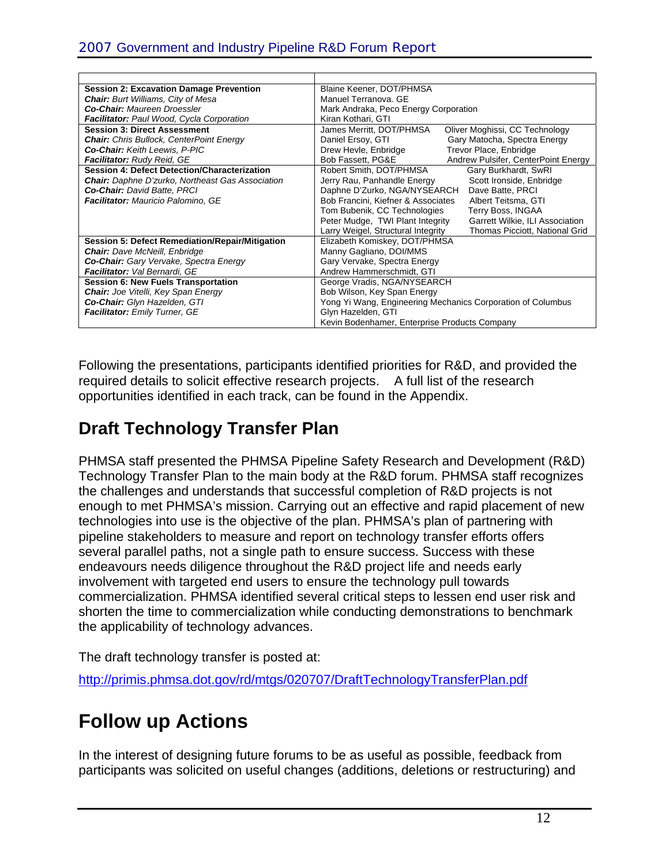| <b>Session 2: Excavation Damage Prevention</b>          | Blaine Keener, DOT/PHMSA                                             |  |
|---------------------------------------------------------|----------------------------------------------------------------------|--|
| <b>Chair:</b> Burt Williams, City of Mesa               | Manuel Terranova, GE                                                 |  |
| <b>Co-Chair:</b> Maureen Droessler                      | Mark Andraka, Peco Energy Corporation                                |  |
| <b>Facilitator:</b> Paul Wood, Cycla Corporation        | Kiran Kothari, GTI                                                   |  |
| <b>Session 3: Direct Assessment</b>                     | Oliver Moghissi, CC Technology<br>James Merritt, DOT/PHMSA           |  |
| <b>Chair:</b> Chris Bullock, CenterPoint Energy         | Daniel Ersoy, GTI<br>Gary Matocha, Spectra Energy                    |  |
| <b>Co-Chair: Keith Leewis, P-PIC</b>                    | Drew Hevle, Enbridge<br>Trevor Place, Enbridge                       |  |
| Facilitator: Rudy Reid, GE                              | Bob Fassett, PG&E<br>Andrew Pulsifer, CenterPoint Energy             |  |
| <b>Session 4: Defect Detection/Characterization</b>     | Robert Smith, DOT/PHMSA<br>Gary Burkhardt, SwRI                      |  |
| <b>Chair:</b> Daphne D'zurko, Northeast Gas Association | Jerry Rau, Panhandle Energy<br>Scott Ironside, Enbridge              |  |
| Co-Chair: David Batte, PRCI                             | Daphne D'Zurko, NGA/NYSEARCH<br>Dave Batte, PRCI                     |  |
| <b>Facilitator:</b> Mauricio Palomino, GE               | Bob Francini, Kiefner & Associates<br>Albert Teitsma, GTI            |  |
|                                                         | Tom Bubenik, CC Technologies<br>Terry Boss, INGAA                    |  |
|                                                         | Peter Mudge, TWI Plant Integrity<br>Garrett Wilkie, ILI Association  |  |
|                                                         | Larry Weigel, Structural Integrity<br>Thomas Picciott, National Grid |  |
| <b>Session 5: Defect Remediation/Repair/Mitigation</b>  | Elizabeth Komiskey, DOT/PHMSA                                        |  |
| <b>Chair:</b> Dave McNeill, Enbridge                    | Manny Gagliano, DOI/MMS                                              |  |
| Co-Chair: Gary Vervake, Spectra Energy                  | Gary Vervake, Spectra Energy                                         |  |
| Facilitator: Val Bernardi, GE                           | Andrew Hammerschmidt, GTI                                            |  |
| <b>Session 6: New Fuels Transportation</b>              | George Vradis, NGA/NYSEARCH                                          |  |
| <b>Chair:</b> Joe Vitelli, Key Span Energy              | Bob Wilson, Key Span Energy                                          |  |
| Co-Chair: Glyn Hazelden, GTI                            | Yong Yi Wang, Engineering Mechanics Corporation of Columbus          |  |
| <b>Facilitator:</b> Emily Turner, GE                    | Glyn Hazelden, GTI                                                   |  |
|                                                         | Kevin Bodenhamer, Enterprise Products Company                        |  |

Following the presentations, participants identified priorities for R&D, and provided the required details to solicit effective research projects. A full list of the research opportunities identified in each track, can be found in the Appendix.

# **Draft Technology Transfer Plan**

PHMSA staff presented the PHMSA Pipeline Safety Research and Development (R&D) Technology Transfer Plan to the main body at the R&D forum. PHMSA staff recognizes the challenges and understands that successful completion of R&D projects is not enough to met PHMSA's mission. Carrying out an effective and rapid placement of new technologies into use is the objective of the plan. PHMSA's plan of partnering with pipeline stakeholders to measure and report on technology transfer efforts offers several parallel paths, not a single path to ensure success. Success with these endeavours needs diligence throughout the R&D project life and needs early involvement with targeted end users to ensure the technology pull towards commercialization. PHMSA identified several critical steps to lessen end user risk and shorten the time to commercialization while conducting demonstrations to benchmark the applicability of technology advances.

The draft technology transfer is posted at:

http://primis.phmsa.dot.gov/rd/mtgs/020707/DraftTechnologyTransferPlan.pdf

# **Follow up Actions**

In the interest of designing future forums to be as useful as possible, feedback from participants was solicited on useful changes (additions, deletions or restructuring) and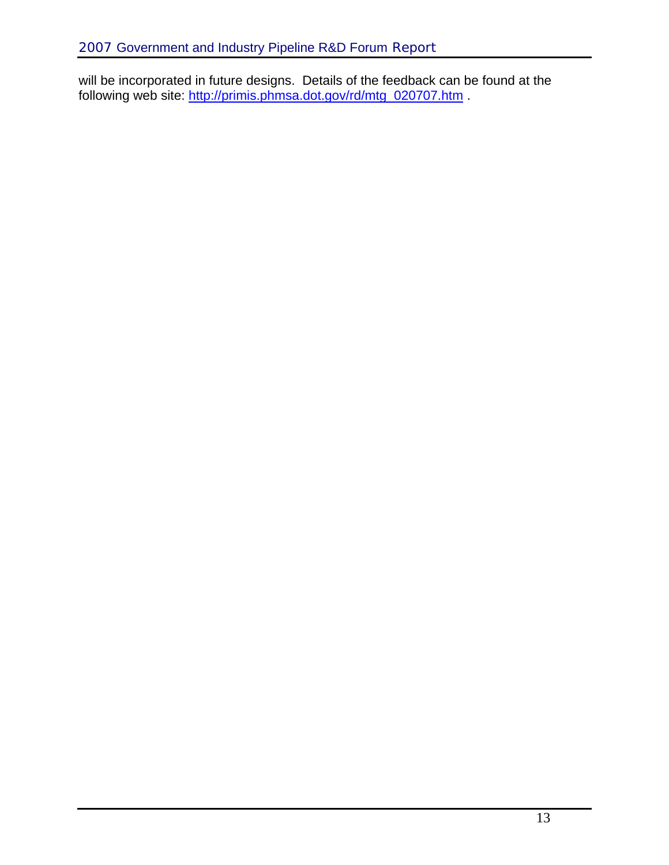will be incorporated in future designs. Details of the feedback can be found at the following web site: http://primis.phmsa.dot.gov/rd/mtg\_020707.htm .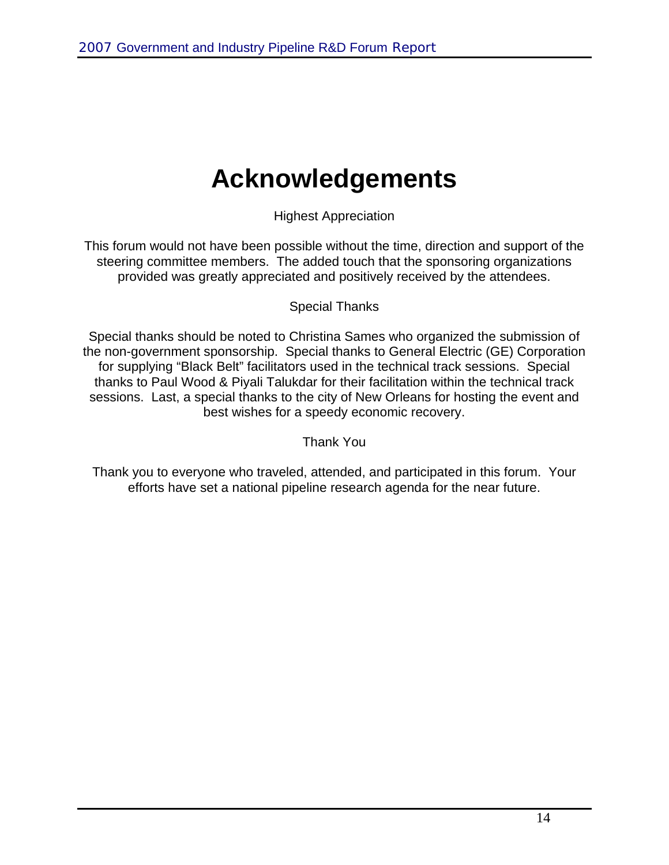# **Acknowledgements**

Highest Appreciation

This forum would not have been possible without the time, direction and support of the steering committee members. The added touch that the sponsoring organizations provided was greatly appreciated and positively received by the attendees.

### Special Thanks

Special thanks should be noted to Christina Sames who organized the submission of the non-government sponsorship. Special thanks to General Electric (GE) Corporation for supplying "Black Belt" facilitators used in the technical track sessions. Special thanks to Paul Wood & Piyali Talukdar for their facilitation within the technical track sessions. Last, a special thanks to the city of New Orleans for hosting the event and best wishes for a speedy economic recovery.

Thank You

Thank you to everyone who traveled, attended, and participated in this forum. Your efforts have set a national pipeline research agenda for the near future.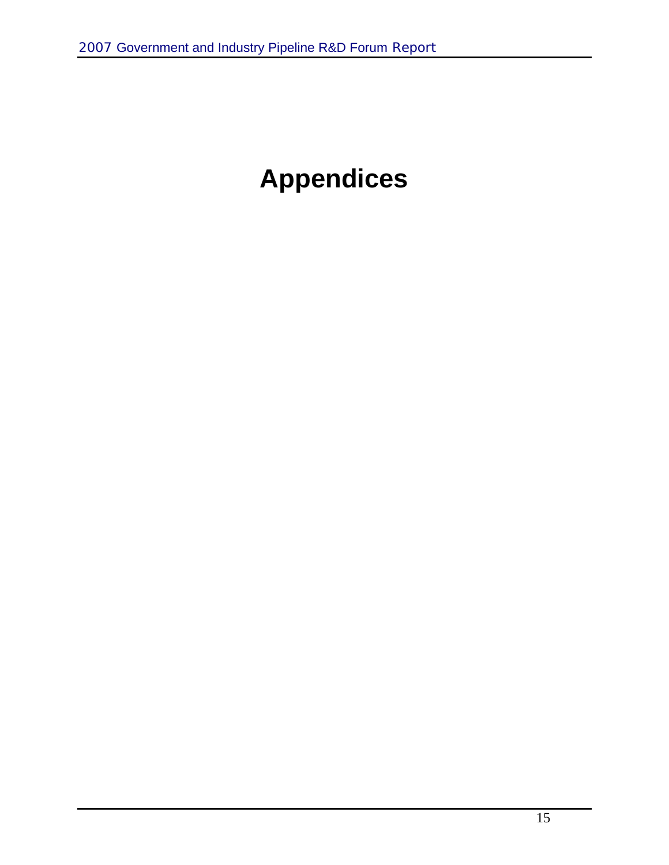# **Appendices**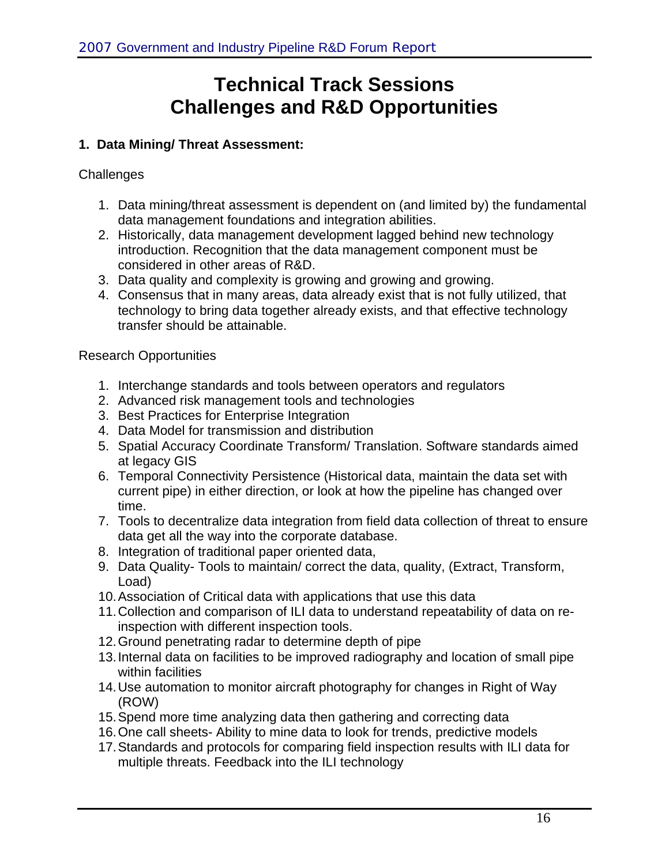# **Technical Track Sessions Challenges and R&D Opportunities**

### **1. Data Mining/ Threat Assessment:**

### **Challenges**

- 1. Data mining/threat assessment is dependent on (and limited by) the fundamental data management foundations and integration abilities.
- 2. Historically, data management development lagged behind new technology introduction. Recognition that the data management component must be considered in other areas of R&D.
- 3. Data quality and complexity is growing and growing and growing.
- 4. Consensus that in many areas, data already exist that is not fully utilized, that technology to bring data together already exists, and that effective technology transfer should be attainable.

### Research Opportunities

- 1. Interchange standards and tools between operators and regulators
- 2. Advanced risk management tools and technologies
- 3. Best Practices for Enterprise Integration
- 4. Data Model for transmission and distribution
- 5. Spatial Accuracy Coordinate Transform/ Translation. Software standards aimed at legacy GIS
- 6. Temporal Connectivity Persistence (Historical data, maintain the data set with current pipe) in either direction, or look at how the pipeline has changed over time.
- 7. Tools to decentralize data integration from field data collection of threat to ensure data get all the way into the corporate database.
- 8. Integration of traditional paper oriented data,
- 9. Data Quality- Tools to maintain/ correct the data, quality, (Extract, Transform, Load)
- 10. Association of Critical data with applications that use this data
- 11. Collection and comparison of ILI data to understand repeatability of data on reinspection with different inspection tools.
- 12. Ground penetrating radar to determine depth of pipe
- 13. Internal data on facilities to be improved radiography and location of small pipe within facilities
- 14. Use automation to monitor aircraft photography for changes in Right of Way (ROW)
- 15. Spend more time analyzing data then gathering and correcting data
- 16. One call sheets- Ability to mine data to look for trends, predictive models
- 17. Standards and protocols for comparing field inspection results with ILI data for multiple threats. Feedback into the ILI technology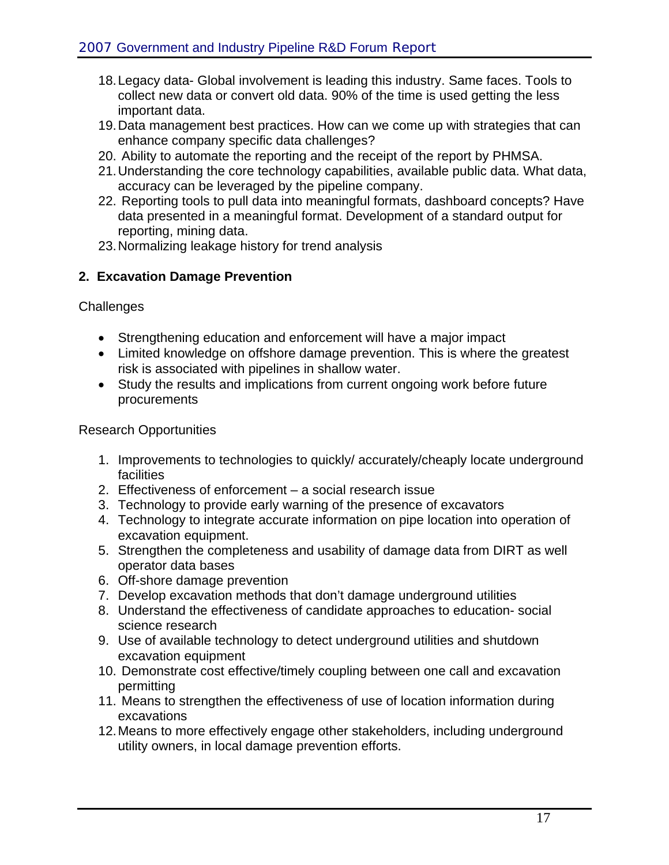- 18. Legacy data- Global involvement is leading this industry. Same faces. Tools to collect new data or convert old data. 90% of the time is used getting the less important data.
- 19. Data management best practices. How can we come up with strategies that can enhance company specific data challenges?
- 20. Ability to automate the reporting and the receipt of the report by PHMSA.
- 21. Understanding the core technology capabilities, available public data. What data, accuracy can be leveraged by the pipeline company.
- 22. Reporting tools to pull data into meaningful formats, dashboard concepts? Have data presented in a meaningful format. Development of a standard output for reporting, mining data.
- 23. Normalizing leakage history for trend analysis

### **2. Excavation Damage Prevention**

**Challenges** 

- Strengthening education and enforcement will have a major impact
- Limited knowledge on offshore damage prevention. This is where the greatest risk is associated with pipelines in shallow water.
- Study the results and implications from current ongoing work before future procurements

Research Opportunities

- 1. Improvements to technologies to quickly/ accurately/cheaply locate underground facilities
- 2. Effectiveness of enforcement a social research issue
- 3. Technology to provide early warning of the presence of excavators
- 4. Technology to integrate accurate information on pipe location into operation of excavation equipment.
- 5. Strengthen the completeness and usability of damage data from DIRT as well operator data bases
- 6. Off-shore damage prevention
- 7. Develop excavation methods that don't damage underground utilities
- 8. Understand the effectiveness of candidate approaches to education- social science research
- 9. Use of available technology to detect underground utilities and shutdown excavation equipment
- 10. Demonstrate cost effective/timely coupling between one call and excavation permitting
- 11. Means to strengthen the effectiveness of use of location information during excavations
- 12. Means to more effectively engage other stakeholders, including underground utility owners, in local damage prevention efforts.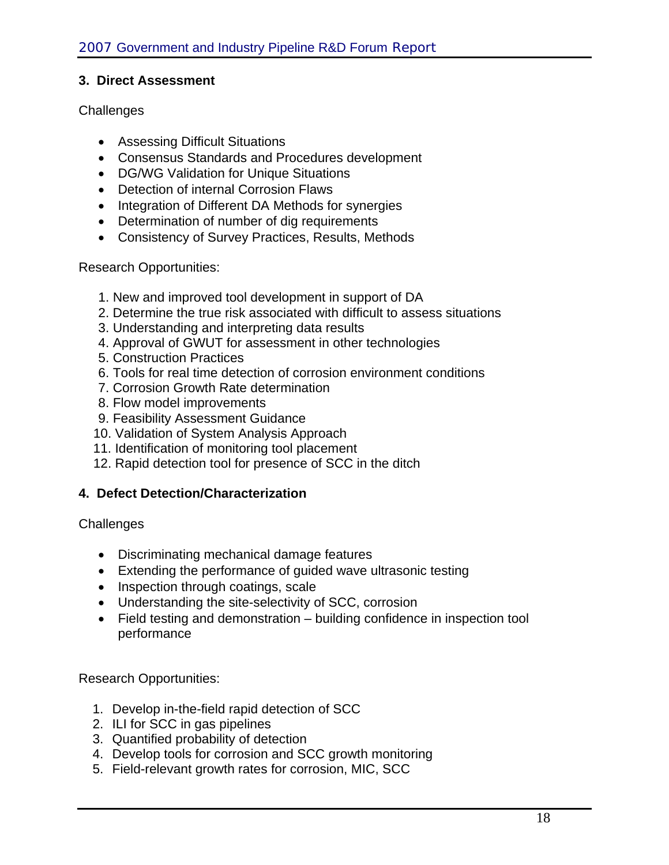#### **3. Direct Assessment**

#### **Challenges**

- Assessing Difficult Situations
- Consensus Standards and Procedures development
- DG/WG Validation for Unique Situations
- Detection of internal Corrosion Flaws
- Integration of Different DA Methods for synergies
- Determination of number of dig requirements
- Consistency of Survey Practices, Results, Methods

#### Research Opportunities:

- 1. New and improved tool development in support of DA
- 2. Determine the true risk associated with difficult to assess situations
- 3. Understanding and interpreting data results
- 4. Approval of GWUT for assessment in other technologies
- 5. Construction Practices
- 6. Tools for real time detection of corrosion environment conditions
- 7. Corrosion Growth Rate determination
- 8. Flow model improvements
- 9. Feasibility Assessment Guidance
- 10. Validation of System Analysis Approach
- 11. Identification of monitoring tool placement
- 12. Rapid detection tool for presence of SCC in the ditch

### **4. Defect Detection/Characterization**

#### **Challenges**

- Discriminating mechanical damage features
- Extending the performance of guided wave ultrasonic testing
- Inspection through coatings, scale
- Understanding the site-selectivity of SCC, corrosion
- Field testing and demonstration building confidence in inspection tool performance

Research Opportunities:

- 1. Develop in-the-field rapid detection of SCC
- 2. ILI for SCC in gas pipelines
- 3. Quantified probability of detection
- 4. Develop tools for corrosion and SCC growth monitoring
- 5. Field-relevant growth rates for corrosion, MIC, SCC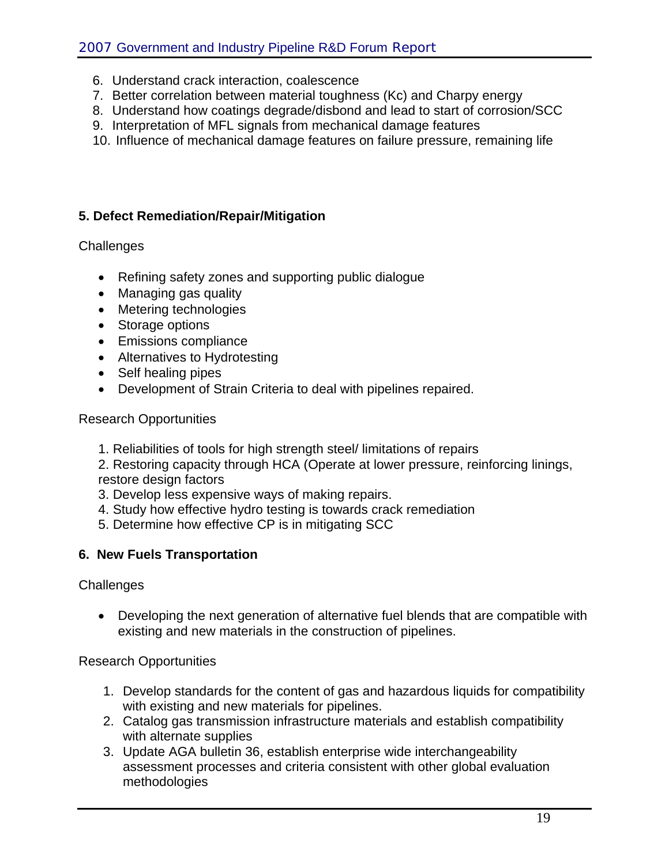- 6. Understand crack interaction, coalescence
- 7. Better correlation between material toughness (Kc) and Charpy energy
- 8. Understand how coatings degrade/disbond and lead to start of corrosion/SCC
- 9. Interpretation of MFL signals from mechanical damage features
- 10. Influence of mechanical damage features on failure pressure, remaining life

### **5. Defect Remediation/Repair/Mitigation**

**Challenges** 

- Refining safety zones and supporting public dialogue
- Managing gas quality
- Metering technologies
- Storage options
- Emissions compliance
- Alternatives to Hydrotesting
- Self healing pipes
- Development of Strain Criteria to deal with pipelines repaired.

Research Opportunities

1. Reliabilities of tools for high strength steel/ limitations of repairs

2. Restoring capacity through HCA (Operate at lower pressure, reinforcing linings, restore design factors

- 3. Develop less expensive ways of making repairs.
- 4. Study how effective hydro testing is towards crack remediation
- 5. Determine how effective CP is in mitigating SCC

### **6. New Fuels Transportation**

**Challenges** 

• Developing the next generation of alternative fuel blends that are compatible with existing and new materials in the construction of pipelines.

Research Opportunities

- 1. Develop standards for the content of gas and hazardous liquids for compatibility with existing and new materials for pipelines.
- 2. Catalog gas transmission infrastructure materials and establish compatibility with alternate supplies
- 3. Update AGA bulletin 36, establish enterprise wide interchangeability assessment processes and criteria consistent with other global evaluation methodologies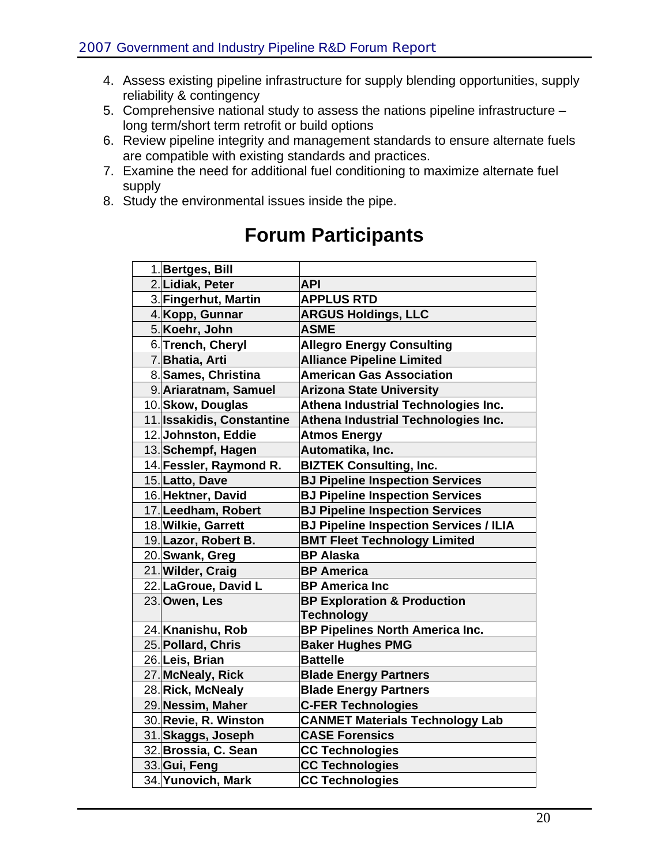- 4. Assess existing pipeline infrastructure for supply blending opportunities, supply reliability & contingency
- 5. Comprehensive national study to assess the nations pipeline infrastructure long term/short term retrofit or build options
- 6. Review pipeline integrity and management standards to ensure alternate fuels are compatible with existing standards and practices.
- 7. Examine the need for additional fuel conditioning to maximize alternate fuel supply
- 8. Study the environmental issues inside the pipe.

# **Forum Participants**

| 1. Bertges, Bill           |                                               |
|----------------------------|-----------------------------------------------|
| 2. Lidiak, Peter           | <b>API</b>                                    |
| 3. Fingerhut, Martin       | <b>APPLUS RTD</b>                             |
| 4. Kopp, Gunnar            | <b>ARGUS Holdings, LLC</b>                    |
| 5. Koehr, John             | <b>ASME</b>                                   |
| 6. Trench, Cheryl          | <b>Allegro Energy Consulting</b>              |
| 7. Bhatia, Arti            | <b>Alliance Pipeline Limited</b>              |
| 8. Sames, Christina        | <b>American Gas Association</b>               |
| 9. Ariaratnam, Samuel      | <b>Arizona State University</b>               |
| 10. Skow, Douglas          | Athena Industrial Technologies Inc.           |
| 11. Issakidis, Constantine | Athena Industrial Technologies Inc.           |
| 12. Johnston, Eddie        | <b>Atmos Energy</b>                           |
| 13. Schempf, Hagen         | Automatika, Inc.                              |
| 14. Fessler, Raymond R.    | <b>BIZTEK Consulting, Inc.</b>                |
| 15. Latto, Dave            | <b>BJ Pipeline Inspection Services</b>        |
| 16. Hektner, David         | <b>BJ Pipeline Inspection Services</b>        |
| 17. Leedham, Robert        | <b>BJ Pipeline Inspection Services</b>        |
| 18. Wilkie, Garrett        | <b>BJ Pipeline Inspection Services / ILIA</b> |
| 19. Lazor, Robert B.       | <b>BMT Fleet Technology Limited</b>           |
| 20.Swank, Greg             | <b>BP Alaska</b>                              |
| 21. Wilder, Craig          | <b>BP</b> America                             |
| 22. LaGroue, David L       | <b>BP America Inc</b>                         |
| 23. Owen, Les              | <b>BP Exploration &amp; Production</b>        |
|                            | <b>Technology</b>                             |
| 24. Knanishu, Rob          | <b>BP Pipelines North America Inc.</b>        |
| 25. Pollard, Chris         | <b>Baker Hughes PMG</b>                       |
| 26. Leis, Brian            | <b>Battelle</b>                               |
| 27. McNealy, Rick          | <b>Blade Energy Partners</b>                  |
| 28. Rick, McNealy          | <b>Blade Energy Partners</b>                  |
| 29. Nessim, Maher          | <b>C-FER Technologies</b>                     |
| 30. Revie, R. Winston      | <b>CANMET Materials Technology Lab</b>        |
| 31. Skaggs, Joseph         | <b>CASE Forensics</b>                         |
| 32. Brossia, C. Sean       | <b>CC Technologies</b>                        |
| 33. Gui, Feng              | <b>CC Technologies</b>                        |
| 34. Yunovich, Mark         | <b>CC Technologies</b>                        |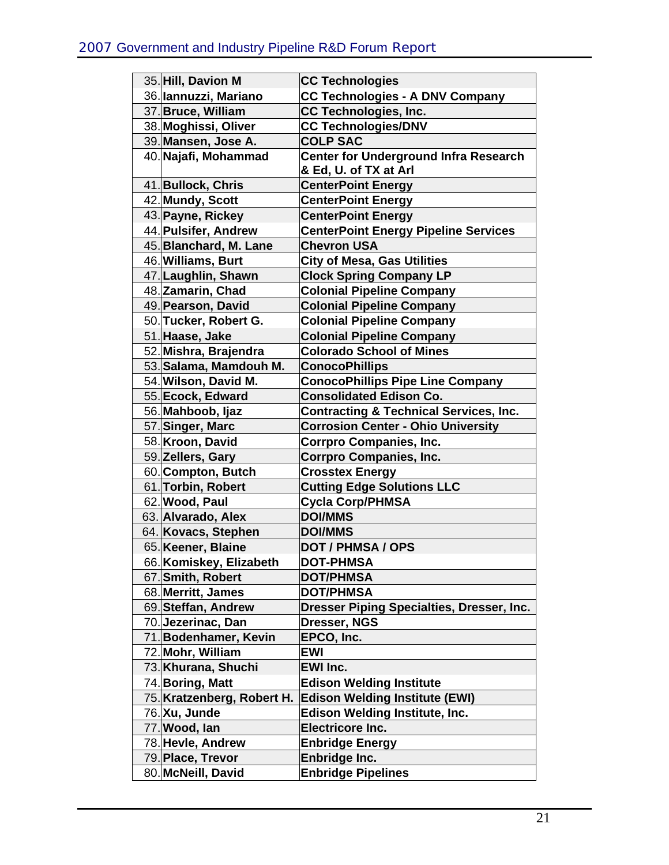| 35. Hill, Davion M         | <b>CC Technologies</b>                            |
|----------------------------|---------------------------------------------------|
| 36. Iannuzzi, Mariano      | <b>CC Technologies - A DNV Company</b>            |
| 37. Bruce, William         | <b>CC Technologies, Inc.</b>                      |
| 38. Moghissi, Oliver       | <b>CC Technologies/DNV</b>                        |
| 39. Mansen, Jose A.        | <b>COLP SAC</b>                                   |
| 40. Najafi, Mohammad       | <b>Center for Underground Infra Research</b>      |
|                            | & Ed, U. of TX at Arl                             |
| 41. Bullock, Chris         | <b>CenterPoint Energy</b>                         |
| 42. Mundy, Scott           | <b>CenterPoint Energy</b>                         |
| 43. Payne, Rickey          | <b>CenterPoint Energy</b>                         |
| 44. Pulsifer, Andrew       | <b>CenterPoint Energy Pipeline Services</b>       |
| 45. Blanchard, M. Lane     | <b>Chevron USA</b>                                |
| 46. Williams, Burt         | <b>City of Mesa, Gas Utilities</b>                |
| 47. Laughlin, Shawn        | <b>Clock Spring Company LP</b>                    |
| 48. Zamarin, Chad          | <b>Colonial Pipeline Company</b>                  |
| 49. Pearson, David         | <b>Colonial Pipeline Company</b>                  |
| 50. Tucker, Robert G.      | <b>Colonial Pipeline Company</b>                  |
| 51. Haase, Jake            | <b>Colonial Pipeline Company</b>                  |
| 52. Mishra, Brajendra      | <b>Colorado School of Mines</b>                   |
| 53. Salama, Mamdouh M.     | <b>ConocoPhillips</b>                             |
| 54. Wilson, David M.       | <b>ConocoPhillips Pipe Line Company</b>           |
| 55. Ecock, Edward          | <b>Consolidated Edison Co.</b>                    |
| 56. Mahboob, Ijaz          | <b>Contracting &amp; Technical Services, Inc.</b> |
| 57. Singer, Marc           | <b>Corrosion Center - Ohio University</b>         |
| 58. Kroon, David           | <b>Corrpro Companies, Inc.</b>                    |
| 59. Zellers, Gary          | <b>Corrpro Companies, Inc.</b>                    |
| 60. Compton, Butch         | <b>Crosstex Energy</b>                            |
| 61. Torbin, Robert         | <b>Cutting Edge Solutions LLC</b>                 |
| 62. Wood, Paul             | <b>Cycla Corp/PHMSA</b>                           |
| 63. Alvarado, Alex         | <b>DOI/MMS</b>                                    |
| 64. Kovacs, Stephen        | <b>DOI/MMS</b>                                    |
| 65. Keener, Blaine         | <b>DOT / PHMSA / OPS</b>                          |
| 66. Komiskey, Elizabeth    | <b>DOT-PHMSA</b>                                  |
| 67. Smith, Robert          | <b>DOT/PHMSA</b>                                  |
| 68. Merritt, James         | <b>DOT/PHMSA</b>                                  |
| 69. Steffan, Andrew        | Dresser Piping Specialties, Dresser, Inc.         |
| 70. Jezerinac, Dan         | Dresser, NGS                                      |
| 71. Bodenhamer, Kevin      | EPCO, Inc.                                        |
| 72. Mohr, William          | EWI                                               |
| 73. Khurana, Shuchi        | <b>EWI Inc.</b>                                   |
| 74. Boring, Matt           | <b>Edison Welding Institute</b>                   |
| 75. Kratzenberg, Robert H. | <b>Edison Welding Institute (EWI)</b>             |
| 76. Xu, Junde              | <b>Edison Welding Institute, Inc.</b>             |
| 77. Wood, lan              | <b>Electricore Inc.</b>                           |
| 78. Hevle, Andrew          | <b>Enbridge Energy</b>                            |
| 79. Place, Trevor          | Enbridge Inc.                                     |
| 80. McNeill, David         | <b>Enbridge Pipelines</b>                         |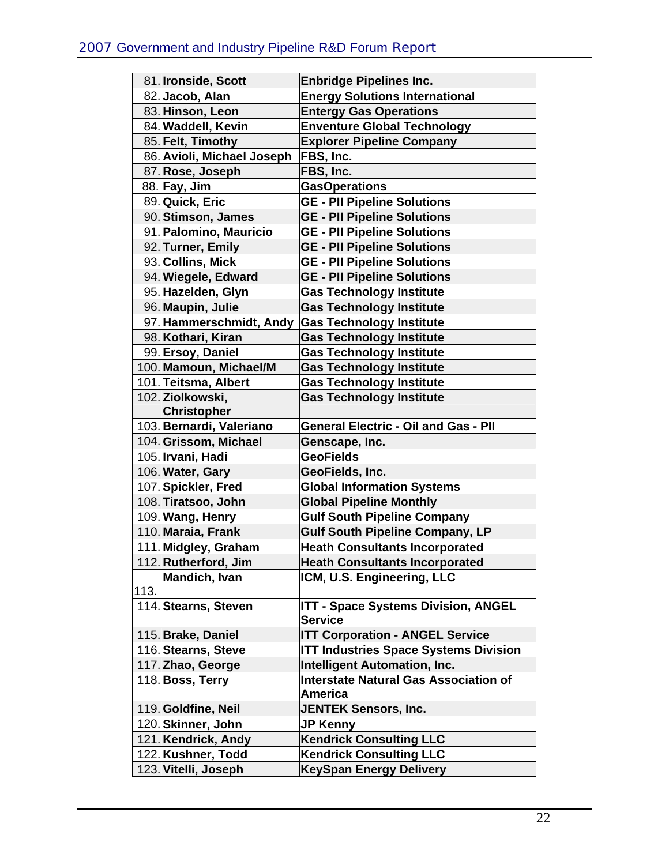|      | 81. Ironside, Scott                     | <b>Enbridge Pipelines Inc.</b>                                               |
|------|-----------------------------------------|------------------------------------------------------------------------------|
|      | 82. Jacob, Alan                         | <b>Energy Solutions International</b>                                        |
|      | 83. Hinson, Leon                        | <b>Entergy Gas Operations</b>                                                |
|      | 84. Waddell, Kevin                      | <b>Enventure Global Technology</b>                                           |
|      | 85. Felt, Timothy                       | <b>Explorer Pipeline Company</b>                                             |
|      | 86. Avioli, Michael Joseph              | FBS, Inc.                                                                    |
|      | 87. Rose, Joseph                        | FBS, Inc.                                                                    |
|      | 88. Fay, Jim                            | <b>GasOperations</b>                                                         |
|      | 89. Quick, Eric                         | <b>GE - PII Pipeline Solutions</b>                                           |
|      | 90. Stimson, James                      | <b>GE - PII Pipeline Solutions</b>                                           |
|      | 91. Palomino, Mauricio                  | <b>GE - PII Pipeline Solutions</b>                                           |
|      | 92. Turner, Emily                       | <b>GE - PII Pipeline Solutions</b>                                           |
|      | 93. Collins, Mick                       | <b>GE - PII Pipeline Solutions</b>                                           |
|      | 94. Wiegele, Edward                     | <b>GE - PII Pipeline Solutions</b>                                           |
|      | 95. Hazelden, Glyn                      | <b>Gas Technology Institute</b>                                              |
|      | 96. Maupin, Julie                       | <b>Gas Technology Institute</b>                                              |
|      | 97. Hammerschmidt, Andy                 | <b>Gas Technology Institute</b>                                              |
|      | 98. Kothari, Kiran                      | <b>Gas Technology Institute</b>                                              |
|      | 99. Ersoy, Daniel                       | <b>Gas Technology Institute</b>                                              |
|      | 100. Mamoun, Michael/M                  | <b>Gas Technology Institute</b>                                              |
|      | 101. Teitsma, Albert                    | <b>Gas Technology Institute</b>                                              |
|      | 102. Ziolkowski,                        | <b>Gas Technology Institute</b>                                              |
|      | <b>Christopher</b>                      |                                                                              |
|      | 103. Bernardi, Valeriano                | <b>General Electric - Oil and Gas - PII</b>                                  |
|      | 104. Grissom, Michael                   | Genscape, Inc.                                                               |
|      | 105. Irvani, Hadi                       | <b>GeoFields</b>                                                             |
|      | 106. Water, Gary                        | GeoFields, Inc.                                                              |
|      | 107. Spickler, Fred                     | <b>Global Information Systems</b>                                            |
|      | 108. Tiratsoo, John<br>109. Wang, Henry | <b>Global Pipeline Monthly</b>                                               |
|      | 110. Maraia, Frank                      | <b>Gulf South Pipeline Company</b><br><b>Gulf South Pipeline Company, LP</b> |
|      | 111. Midgley, Graham                    | <b>Heath Consultants Incorporated</b>                                        |
|      | 112. Rutherford, Jim                    | <b>Heath Consultants Incorporated</b>                                        |
|      | Mandich, Ivan                           | ICM, U.S. Engineering, LLC                                                   |
| 113. |                                         |                                                                              |
|      | 114. Stearns, Steven                    | <b>ITT - Space Systems Division, ANGEL</b>                                   |
|      |                                         | <b>Service</b>                                                               |
|      | 115. Brake, Daniel                      | <b>ITT Corporation - ANGEL Service</b>                                       |
|      | 116. Stearns, Steve                     | <b>ITT Industries Space Systems Division</b>                                 |
|      | 117. Zhao, George                       | <b>Intelligent Automation, Inc.</b>                                          |
|      | 118. Boss, Terry                        | <b>Interstate Natural Gas Association of</b>                                 |
|      |                                         | <b>America</b>                                                               |
|      | 119. Goldfine, Neil                     | <b>JENTEK Sensors, Inc.</b>                                                  |
|      | 120. Skinner, John                      | <b>JP Kenny</b>                                                              |
|      | 121. Kendrick, Andy                     | <b>Kendrick Consulting LLC</b>                                               |
|      | 122. Kushner, Todd                      | <b>Kendrick Consulting LLC</b>                                               |
|      | 123. Vitelli, Joseph                    | <b>KeySpan Energy Delivery</b>                                               |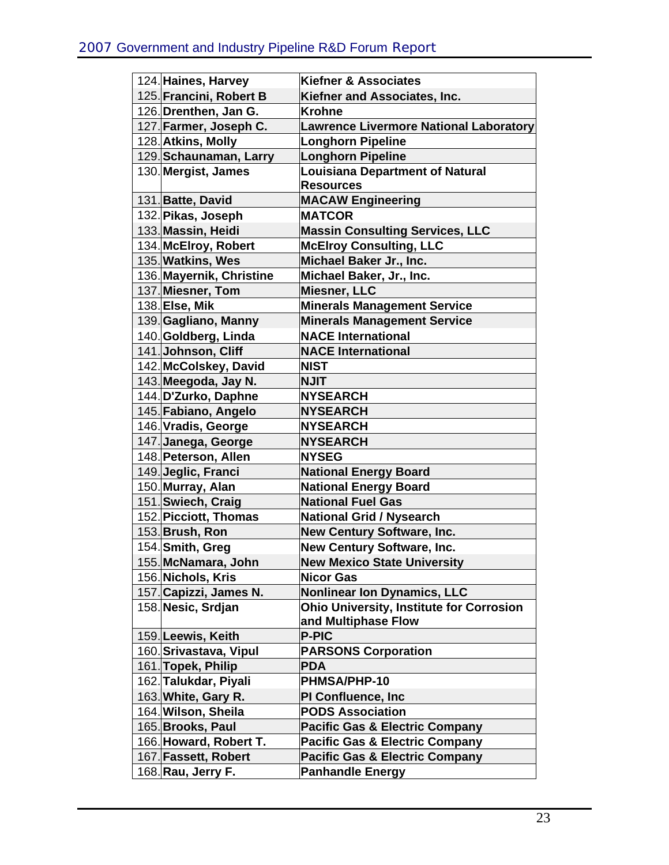| 124. Haines, Harvey      | <b>Kiefner &amp; Associates</b>                                        |
|--------------------------|------------------------------------------------------------------------|
| 125. Francini, Robert B  | Kiefner and Associates, Inc.                                           |
| 126. Drenthen, Jan G.    | <b>Krohne</b>                                                          |
| 127. Farmer, Joseph C.   | Lawrence Livermore National Laboratory                                 |
| 128. Atkins, Molly       | <b>Longhorn Pipeline</b>                                               |
| 129. Schaunaman, Larry   | <b>Longhorn Pipeline</b>                                               |
| 130. Mergist, James      | <b>Louisiana Department of Natural</b>                                 |
|                          | <b>Resources</b>                                                       |
| 131. Batte, David        | <b>MACAW Engineering</b>                                               |
| 132. Pikas, Joseph       | <b>MATCOR</b>                                                          |
| 133. Massin, Heidi       | <b>Massin Consulting Services, LLC</b>                                 |
| 134. McElroy, Robert     | <b>McElroy Consulting, LLC</b>                                         |
| 135. Watkins, Wes        | Michael Baker Jr., Inc.                                                |
| 136. Mayernik, Christine | Michael Baker, Jr., Inc.                                               |
| 137. Miesner, Tom        | Miesner, LLC                                                           |
| 138. Else, Mik           | <b>Minerals Management Service</b>                                     |
| 139. Gagliano, Manny     | <b>Minerals Management Service</b>                                     |
| 140. Goldberg, Linda     | <b>NACE International</b>                                              |
| 141. Johnson, Cliff      | <b>NACE International</b>                                              |
| 142. McColskey, David    | <b>NIST</b>                                                            |
| 143. Meegoda, Jay N.     | <b>NJIT</b>                                                            |
| 144. D'Zurko, Daphne     | <b>NYSEARCH</b>                                                        |
| 145. Fabiano, Angelo     | <b>NYSEARCH</b>                                                        |
| 146. Vradis, George      | <b>NYSEARCH</b>                                                        |
| 147. Janega, George      | <b>NYSEARCH</b>                                                        |
| 148. Peterson, Allen     | <b>NYSEG</b>                                                           |
| 149. Jeglic, Franci      | <b>National Energy Board</b>                                           |
| 150. Murray, Alan        | <b>National Energy Board</b>                                           |
| 151. Swiech, Craig       | <b>National Fuel Gas</b>                                               |
| 152. Picciott, Thomas    | <b>National Grid / Nysearch</b>                                        |
| 153. Brush, Ron          | New Century Software, Inc.                                             |
| 154. Smith, Greg         | New Century Software, Inc.                                             |
| 155. McNamara, John      | <b>New Mexico State University</b>                                     |
| 156. Nichols, Kris       | <b>Nicor Gas</b>                                                       |
| 157. Capizzi, James N.   | <b>Nonlinear Ion Dynamics, LLC</b>                                     |
| 158.Nesic, Srdjan        | <b>Ohio University, Institute for Corrosion</b><br>and Multiphase Flow |
| 159. Leewis, Keith       | <b>P-PIC</b>                                                           |
| 160. Srivastava, Vipul   | <b>PARSONS Corporation</b>                                             |
| 161. Topek, Philip       | <b>PDA</b>                                                             |
| 162. Talukdar, Piyali    | <b>PHMSA/PHP-10</b>                                                    |
| 163. White, Gary R.      | <b>PI Confluence, Inc.</b>                                             |
| 164. Wilson, Sheila      | <b>PODS Association</b>                                                |
| 165. Brooks, Paul        | <b>Pacific Gas &amp; Electric Company</b>                              |
| 166. Howard, Robert T.   | <b>Pacific Gas &amp; Electric Company</b>                              |
| 167. Fassett, Robert     | <b>Pacific Gas &amp; Electric Company</b>                              |
| 168. Rau, Jerry F.       | <b>Panhandle Energy</b>                                                |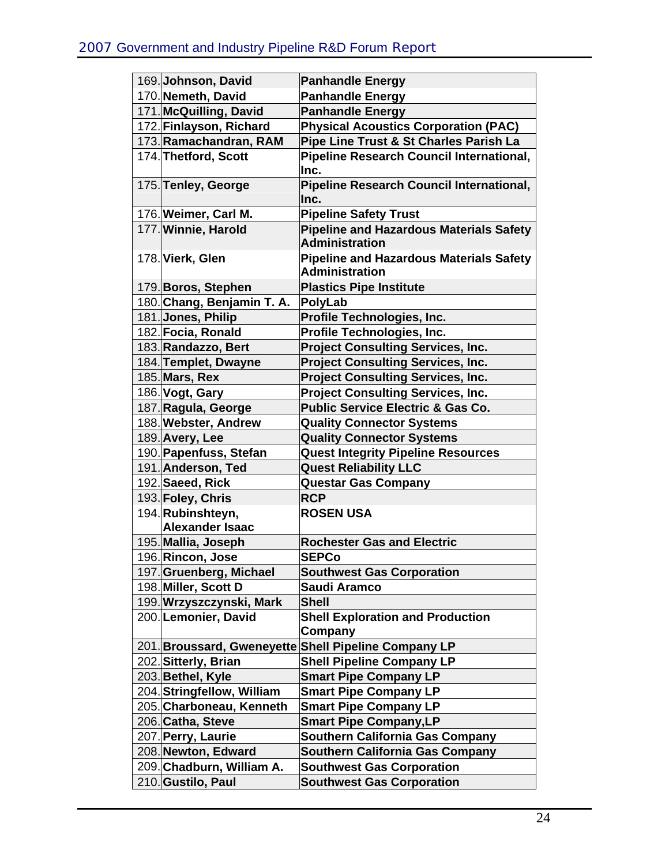| 169. Johnson, David        | <b>Panhandle Energy</b>                         |
|----------------------------|-------------------------------------------------|
| 170. Nemeth, David         | <b>Panhandle Energy</b>                         |
| 171. McQuilling, David     | <b>Panhandle Energy</b>                         |
| 172. Finlayson, Richard    | <b>Physical Acoustics Corporation (PAC)</b>     |
| 173. Ramachandran, RAM     | Pipe Line Trust & St Charles Parish La          |
| 174. Thetford, Scott       | Pipeline Research Council International,        |
|                            | Inc.                                            |
| 175. Tenley, George        | <b>Pipeline Research Council International,</b> |
|                            | Inc.                                            |
| 176. Weimer, Carl M.       | <b>Pipeline Safety Trust</b>                    |
| 177. Winnie, Harold        | <b>Pipeline and Hazardous Materials Safety</b>  |
|                            | <b>Administration</b>                           |
| 178. Vierk, Glen           | <b>Pipeline and Hazardous Materials Safety</b>  |
|                            | <b>Administration</b>                           |
| 179. Boros, Stephen        | <b>Plastics Pipe Institute</b>                  |
| 180. Chang, Benjamin T. A. | PolyLab                                         |
| 181.Jones, Philip          | Profile Technologies, Inc.                      |
| 182. Focia, Ronald         | Profile Technologies, Inc.                      |
| 183. Randazzo, Bert        | <b>Project Consulting Services, Inc.</b>        |
| 184. Templet, Dwayne       | <b>Project Consulting Services, Inc.</b>        |
| 185. Mars, Rex             | <b>Project Consulting Services, Inc.</b>        |
| 186. Vogt, Gary            | <b>Project Consulting Services, Inc.</b>        |
| 187. Ragula, George        | <b>Public Service Electric &amp; Gas Co.</b>    |
| 188. Webster, Andrew       | <b>Quality Connector Systems</b>                |
| 189. Avery, Lee            | <b>Quality Connector Systems</b>                |
| 190. Papenfuss, Stefan     | <b>Quest Integrity Pipeline Resources</b>       |
| 191. Anderson, Ted         | <b>Quest Reliability LLC</b>                    |
| 192. Saeed, Rick           | <b>Questar Gas Company</b>                      |
| 193. Foley, Chris          | <b>RCP</b>                                      |
| 194. Rubinshteyn,          | <b>ROSEN USA</b>                                |
| <b>Alexander Isaac</b>     |                                                 |
| 195. Mallia, Joseph        | <b>Rochester Gas and Electric</b>               |
| 196. Rincon, Jose          | <b>SEPCo</b>                                    |
| 197. Gruenberg, Michael    | <b>Southwest Gas Corporation</b>                |
| 198. Miller, Scott D       | Saudi Aramco                                    |
| 199. Wrzyszczynski, Mark   | <b>Shell</b>                                    |
| 200. Lemonier, David       | <b>Shell Exploration and Production</b>         |
|                            | Company<br><b>Shell Pipeline Company LP</b>     |
| 201. Broussard, Gweneyette |                                                 |
| 202. Sitterly, Brian       | <b>Shell Pipeline Company LP</b>                |
| 203. Bethel, Kyle          | <b>Smart Pipe Company LP</b>                    |
| 204. Stringfellow, William | <b>Smart Pipe Company LP</b>                    |
| 205. Charboneau, Kenneth   | <b>Smart Pipe Company LP</b>                    |
| 206. Catha, Steve          | <b>Smart Pipe Company, LP</b>                   |
| 207. Perry, Laurie         | <b>Southern California Gas Company</b>          |
| 208. Newton, Edward        | <b>Southern California Gas Company</b>          |
| 209. Chadburn, William A.  | <b>Southwest Gas Corporation</b>                |
| 210. Gustilo, Paul         | <b>Southwest Gas Corporation</b>                |